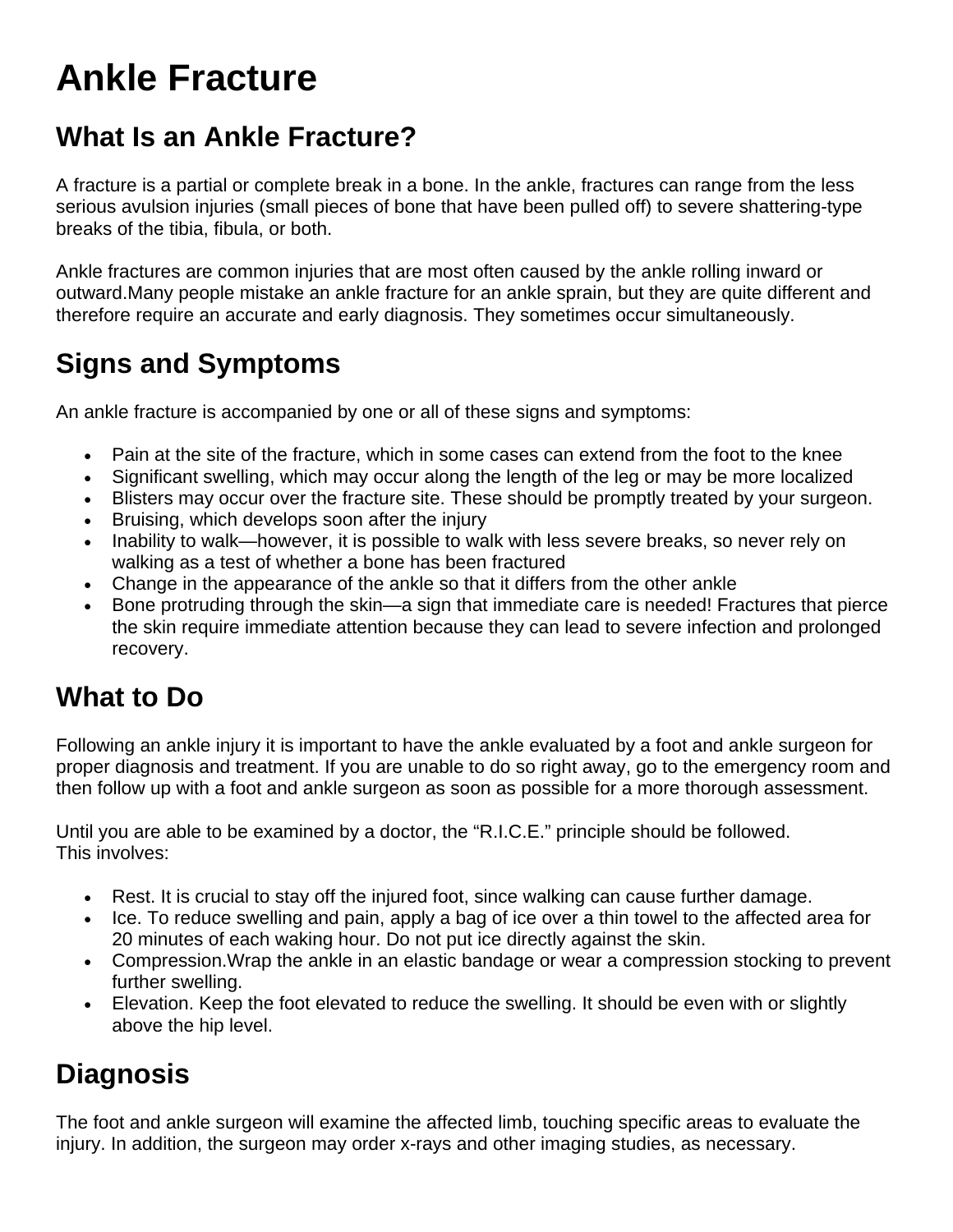# **Ankle Fracture**

## **What Is an Ankle Fracture?**

A fracture is a partial or complete break in a bone. In the ankle, fractures can range from the less serious avulsion injuries (small pieces of bone that have been pulled off) to severe shattering-type breaks of the tibia, fibula, or both.

Ankle fractures are common injuries that are most often caused by the ankle rolling inward or outward.Many people mistake an ankle fracture for an ankle sprain, but they are quite different and therefore require an accurate and early diagnosis. They sometimes occur simultaneously.

## **Signs and Symptoms**

An ankle fracture is accompanied by one or all of these signs and symptoms:

- Pain at the site of the fracture, which in some cases can extend from the foot to the knee
- Significant swelling, which may occur along the length of the leg or may be more localized
- Blisters may occur over the fracture site. These should be promptly treated by your surgeon.
- Bruising, which develops soon after the injury
- Inability to walk—however, it is possible to walk with less severe breaks, so never rely on walking as a test of whether a bone has been fractured
- Change in the appearance of the ankle so that it differs from the other ankle
- Bone protruding through the skin—a sign that immediate care is needed! Fractures that pierce the skin require immediate attention because they can lead to severe infection and prolonged recovery.

#### **What to Do**

Following an ankle injury it is important to have the ankle evaluated by a foot and ankle surgeon for proper diagnosis and treatment. If you are unable to do so right away, go to the emergency room and then follow up with a foot and ankle surgeon as soon as possible for a more thorough assessment.

Until you are able to be examined by a doctor, the "R.I.C.E." principle should be followed. This involves:

- Rest. It is crucial to stay off the injured foot, since walking can cause further damage.
- Ice. To reduce swelling and pain, apply a bag of ice over a thin towel to the affected area for 20 minutes of each waking hour. Do not put ice directly against the skin.
- Compression.Wrap the ankle in an elastic bandage or wear a compression stocking to prevent further swelling.
- Elevation. Keep the foot elevated to reduce the swelling. It should be even with or slightly above the hip level.

## **Diagnosis**

The foot and ankle surgeon will examine the affected limb, touching specific areas to evaluate the injury. In addition, the surgeon may order x-rays and other imaging studies, as necessary.